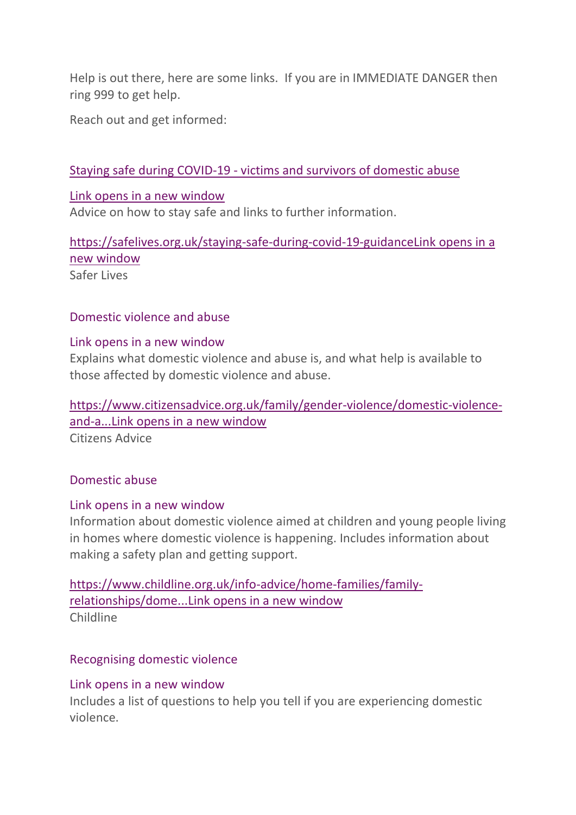Help is out there, here are some links. If you are in IMMEDIATE DANGER then ring 999 to get help.

Reach out and get informed:

#### Staying safe during COVID-19 - [victims and survivors of domestic abuse](https://safelives.org.uk/staying-safe-during-covid-19-guidance)

#### Link opens in a new [window](https://safelives.org.uk/staying-safe-during-covid-19-guidance)

Advice on how to stay safe and links to further information.

[https://safelives.org.uk/staying-safe-during-covid-19-guidanceLink](https://safelives.org.uk/staying-safe-during-covid-19-guidance) opens in a new [window](https://safelives.org.uk/staying-safe-during-covid-19-guidance) Safer Lives

#### [Domestic violence and abuse](https://www.citizensadvice.org.uk/family/gender-violence/domestic-violence-and-abuse/)

#### Link opens in a new [window](https://www.citizensadvice.org.uk/family/gender-violence/domestic-violence-and-abuse/)

Explains what domestic violence and abuse is, and what help is available to those affected by domestic violence and abuse.

[https://www.citizensadvice.org.uk/family/gender-violence/domestic-violence](https://www.citizensadvice.org.uk/family/gender-violence/domestic-violence-and-abuse/)[and-a...Link](https://www.citizensadvice.org.uk/family/gender-violence/domestic-violence-and-abuse/) opens in a new window Citizens Advice

#### [Domestic abuse](https://www.childline.org.uk/info-advice/home-families/family-relationships/domestic-abuse/)

#### Link opens in a new [window](https://www.childline.org.uk/info-advice/home-families/family-relationships/domestic-abuse/)

Information about domestic violence aimed at children and young people living in homes where domestic violence is happening. Includes information about making a safety plan and getting support.

[https://www.childline.org.uk/info-advice/home-families/family](https://www.childline.org.uk/info-advice/home-families/family-relationships/domestic-abuse/)[relationships/dome...Link](https://www.childline.org.uk/info-advice/home-families/family-relationships/domestic-abuse/) opens in a new window Childline

#### [Recognising domestic violence](https://www.womensaid.org.uk/information-support/what-is-domestic-abuse/recognising-domestic-abuse/)

#### Link opens in a new [window](https://www.womensaid.org.uk/information-support/what-is-domestic-abuse/recognising-domestic-abuse/)

Includes a list of questions to help you tell if you are experiencing domestic violence.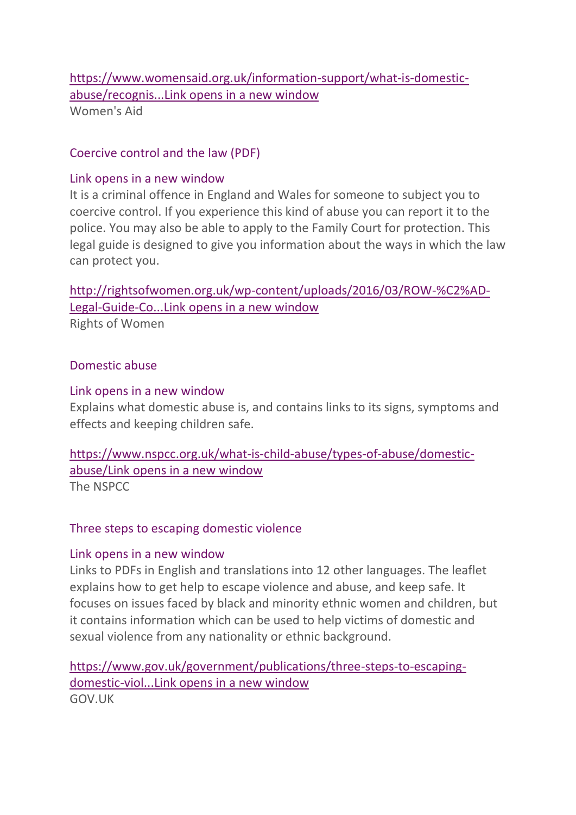### [https://www.womensaid.org.uk/information-support/what-is-domestic](https://www.womensaid.org.uk/information-support/what-is-domestic-abuse/recognising-domestic-abuse/)[abuse/recognis...Link](https://www.womensaid.org.uk/information-support/what-is-domestic-abuse/recognising-domestic-abuse/) opens in a new window [Women](http://rightsofwomen.org.uk/wp-content/uploads/2016/03/ROW-%C2%AD-Legal-Guide-Coercive-control-final.pdf)'[s Aid](http://rightsofwomen.org.uk/wp-content/uploads/2016/03/ROW-%C2%AD-Legal-Guide-Coercive-control-final.pdf)

[Coercive control and the law \(PDF\)](http://rightsofwomen.org.uk/wp-content/uploads/2016/03/ROW-%C2%AD-Legal-Guide-Coercive-control-final.pdf)

## Link opens in a new [window](http://rightsofwomen.org.uk/wp-content/uploads/2016/03/ROW-%C2%AD-Legal-Guide-Coercive-control-final.pdf)

It is a criminal offence in England and Wales for someone to subject you to coercive control. If you experience this kind of abuse you can report it to the police. You may also be able to apply to the Family Court for protection. This legal guide is designed to give you information about the ways in which the law can protect you.

[http://rightsofwomen.org.uk/wp-content/uploads/2016/03/ROW-%C2%AD-](http://rightsofwomen.org.uk/wp-content/uploads/2016/03/ROW-%C2%AD-Legal-Guide-Coercive-control-final.pdf)[Legal-Guide-Co...Link](http://rightsofwomen.org.uk/wp-content/uploads/2016/03/ROW-%C2%AD-Legal-Guide-Coercive-control-final.pdf) opens in a new window

Rights of Women

## [Domestic abuse](https://www.nspcc.org.uk/what-is-child-abuse/types-of-abuse/domestic-abuse/)

## Link opens in a new [window](https://www.nspcc.org.uk/what-is-child-abuse/types-of-abuse/domestic-abuse/)

Explains what domestic abuse is, and contains links to its signs, symptoms and effects and keeping children safe.

[https://www.nspcc.org.uk/what-is-child-abuse/types-of-abuse/domestic](https://www.nspcc.org.uk/what-is-child-abuse/types-of-abuse/domestic-abuse/)[abuse/Link](https://www.nspcc.org.uk/what-is-child-abuse/types-of-abuse/domestic-abuse/) opens in a new window The NSPCC

# [Three steps to escaping domestic violence](https://www.gov.uk/government/publications/three-steps-to-escaping-domestic-violence)

# Link opens in a new [window](https://www.gov.uk/government/publications/three-steps-to-escaping-domestic-violence)

Links to PDFs in English and translations into 12 other languages. The leaflet explains how to get help to escape violence and abuse, and keep safe. It focuses on issues faced by black and minority ethnic women and children, but it contains information which can be used to help victims of domestic and sexual violence from any nationality or ethnic background.

[https://www.gov.uk/government/publications/three-steps-to-escaping](https://www.gov.uk/government/publications/three-steps-to-escaping-domestic-violence)[domestic-viol...Link](https://www.gov.uk/government/publications/three-steps-to-escaping-domestic-violence) opens in a new window GOV.UK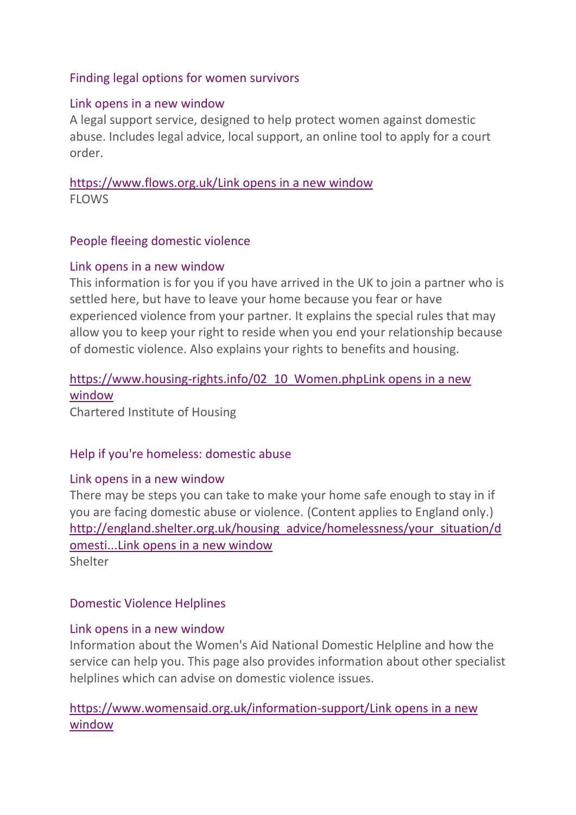## [Finding legal options for women survivors](https://www.flows.org.uk/)

## Link opens in a new [window](https://www.flows.org.uk/)

A legal support service, designed to help protect women against domestic abuse. Includes legal advice, local support, an online tool to apply for a court order.

[https://www.flows.org.uk/Link](https://www.flows.org.uk/) opens in a new window FLOWS

## [People fleeing domestic violence](https://www.housing-rights.info/02_10_Women.php)

## Link opens in a new [window](https://www.housing-rights.info/02_10_Women.php)

This information is for you if you have arrived in the UK to join a partner who is settled here, but have to leave your home because you fear or have experienced violence from your partner. It explains the special rules that may allow you to keep your right to reside when you end your relationship because of domestic violence. Also explains your rights to benefits and housing.

# [https://www.housing-rights.info/02\\_10\\_Women.phpLink](https://www.housing-rights.info/02_10_Women.php) opens in a new [window](https://www.housing-rights.info/02_10_Women.php)

Chartered Institute of Housing

## [Help if you're homeless: domestic abuse](http://england.shelter.org.uk/housing_advice/homelessness/your_situation/domestic_abuse)

## Link opens in a new [window](http://england.shelter.org.uk/housing_advice/homelessness/your_situation/domestic_abuse)

There may be steps you can take to make your home safe enough to stay in if you are facing domestic abuse or violence. (Content applies to England only.) [http://england.shelter.org.uk/housing\\_advice/homelessness/your\\_situation/d](http://england.shelter.org.uk/housing_advice/homelessness/your_situation/domestic_abuse) [omesti...Link](http://england.shelter.org.uk/housing_advice/homelessness/your_situation/domestic_abuse) opens in a new window **Shelter** 

## [Domestic Violence Helplines](https://www.womensaid.org.uk/information-support/)

## Link opens in a new [window](https://www.womensaid.org.uk/information-support/)

Information about the Women's Aid National Domestic Helpline and how the service can help you. This page also provides information about other specialist helplines which can advise on domestic violence issues.

[https://www.womensaid.org.uk/information-support/Link](https://www.womensaid.org.uk/information-support/) opens in a new [window](https://www.womensaid.org.uk/information-support/)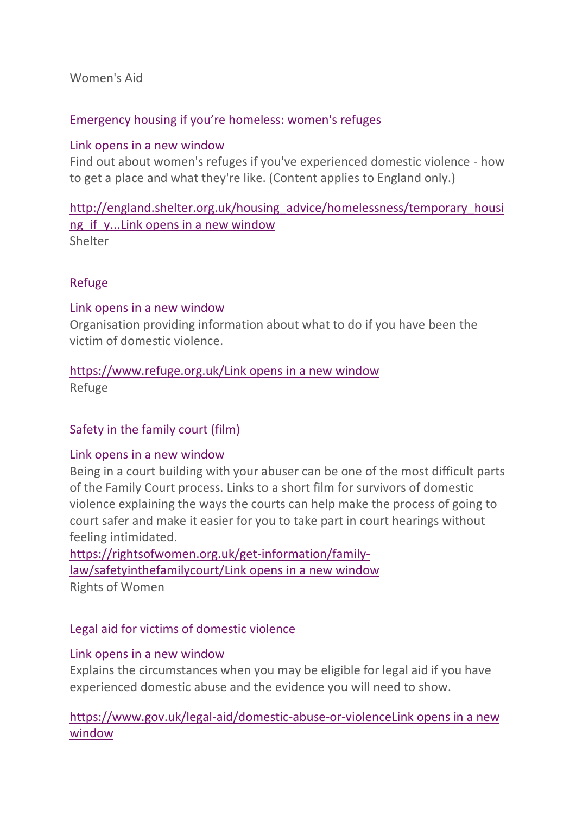Women's Aid

## [Emergency housing if you're homeless: women's refuges](http://england.shelter.org.uk/housing_advice/homelessness/temporary_housing_if_youre_homeless/refuges_if_youre_a_woman_suffering_from_domestic_abuse)

#### Link opens in a new [window](http://england.shelter.org.uk/housing_advice/homelessness/temporary_housing_if_youre_homeless/refuges_if_youre_a_woman_suffering_from_domestic_abuse)

Find out about women's refuges if you've experienced domestic violence - how to get a place and what they're like. (Content applies to England only.)

[http://england.shelter.org.uk/housing\\_advice/homelessness/temporary\\_housi](http://england.shelter.org.uk/housing_advice/homelessness/temporary_housing_if_youre_homeless/refuges_if_youre_a_woman_suffering_from_domestic_abuse) ng if y...Link opens in a new window **Shelter** 

[Refuge](https://www.refuge.org.uk/)

#### Link opens in a new [window](https://www.refuge.org.uk/)

Organisation providing information about what to do if you have been the victim of domestic violence.

# [https://www.refuge.org.uk/Link](https://www.refuge.org.uk/) opens in a new window

Refuge

## [Safety in the family court \(film\)](https://rightsofwomen.org.uk/get-information/family-law/safetyinthefamilycourt/)

#### Link opens in a new [window](https://rightsofwomen.org.uk/get-information/family-law/safetyinthefamilycourt/)

Being in a court building with your abuser can be one of the most difficult parts of the Family Court process. Links to a short film for survivors of domestic violence explaining the ways the courts can help make the process of going to court safer and make it easier for you to take part in court hearings without feeling intimidated.

[https://rightsofwomen.org.uk/get-information/family](https://rightsofwomen.org.uk/get-information/family-law/safetyinthefamilycourt/)[law/safetyinthefamilycourt/Link](https://rightsofwomen.org.uk/get-information/family-law/safetyinthefamilycourt/) opens in a new window Rights of Women

## [Legal aid for victims of domestic violence](https://www.gov.uk/legal-aid/domestic-abuse-or-violence)

#### Link opens in a new [window](https://www.gov.uk/legal-aid/domestic-abuse-or-violence)

Explains the circumstances when you may be eligible for legal aid if you have experienced domestic abuse and the evidence you will need to show.

## [https://www.gov.uk/legal-aid/domestic-abuse-or-violenceLink](https://www.gov.uk/legal-aid/domestic-abuse-or-violence) opens in a new [window](https://www.gov.uk/legal-aid/domestic-abuse-or-violence)